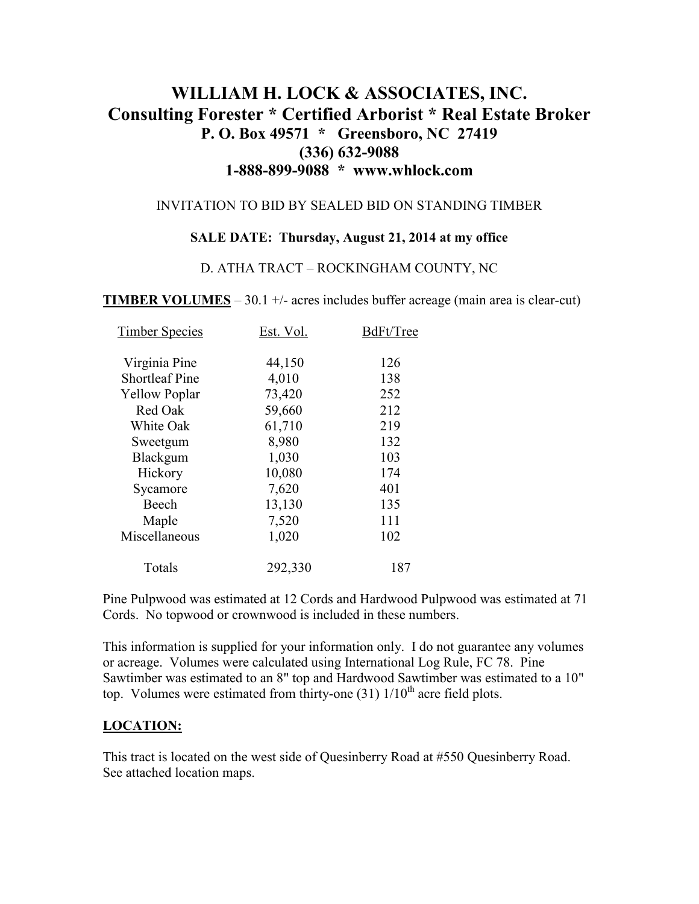# **WILLIAM H. LOCK & ASSOCIATES, INC. Consulting Forester \* Certified Arborist \* Real Estate Broker P. O. Box 49571 \* Greensboro, NC 27419 (336) 632-9088 1-888-899-9088 \* www.whlock.com**

#### INVITATION TO BID BY SEALED BID ON STANDING TIMBER

#### **SALE DATE: Thursday, August 21, 2014 at my office**

#### D. ATHA TRACT – ROCKINGHAM COUNTY, NC

**TIMBER VOLUMES** – 30.1 +/- acres includes buffer acreage (main area is clear-cut)

| <b>Timber Species</b> | Est. Vol. | BdFt/Tree |
|-----------------------|-----------|-----------|
| Virginia Pine         | 44,150    | 126       |
| <b>Shortleaf Pine</b> | 4,010     | 138       |
| <b>Yellow Poplar</b>  | 73,420    | 252       |
| Red Oak               | 59,660    | 212       |
| White Oak             | 61,710    | 219       |
| Sweetgum              | 8,980     | 132       |
| Blackgum              | 1,030     | 103       |
| Hickory               | 10,080    | 174       |
| Sycamore              | 7,620     | 401       |
| Beech                 | 13,130    | 135       |
| Maple                 | 7,520     | 111       |
| Miscellaneous         | 1,020     | 102       |
| Totals                | 292,330   | 187       |

Pine Pulpwood was estimated at 12 Cords and Hardwood Pulpwood was estimated at 71 Cords. No topwood or crownwood is included in these numbers.

This information is supplied for your information only. I do not guarantee any volumes or acreage. Volumes were calculated using International Log Rule, FC 78. Pine Sawtimber was estimated to an 8" top and Hardwood Sawtimber was estimated to a 10" top. Volumes were estimated from thirty-one  $(31)$   $1/10<sup>th</sup>$  acre field plots.

#### **LOCATION:**

This tract is located on the west side of Quesinberry Road at #550 Quesinberry Road. See attached location maps.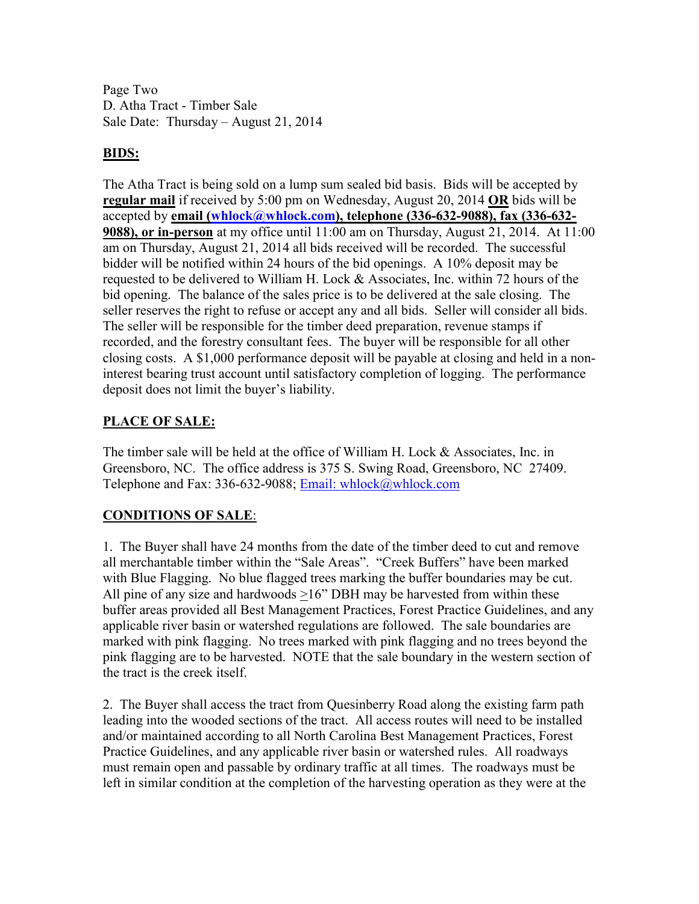Page Two D. Atha Tract - Timber Sale Sale Date: Thursday – August 21, 2014

### **BIDS:**

The Atha Tract is being sold on a lump sum sealed bid basis. Bids will be accepted by **regular mail** if received by 5:00 pm on Wednesday, August 20, 2014 **OR** bids will be accepted by **email (whlock@whlock.com), telephone (336-632-9088), fax (336-632- 9088), or in-person** at my office until 11:00 am on Thursday, August 21, 2014. At 11:00 am on Thursday, August 21, 2014 all bids received will be recorded. The successful bidder will be notified within 24 hours of the bid openings. A 10% deposit may be requested to be delivered to William H. Lock  $&$  Associates, Inc. within 72 hours of the bid opening. The balance of the sales price is to be delivered at the sale closing. The seller reserves the right to refuse or accept any and all bids. Seller will consider all bids. The seller will be responsible for the timber deed preparation, revenue stamps if recorded, and the forestry consultant fees. The buyer will be responsible for all other closing costs. A \$1,000 performance deposit will be payable at closing and held in a noninterest bearing trust account until satisfactory completion of logging. The performance deposit does not limit the buyer's liability.

### **PLACE OF SALE:**

The timber sale will be held at the office of William H. Lock & Associates, Inc. in Greensboro, NC. The office address is 375 S. Swing Road, Greensboro, NC 27409. Telephone and Fax: 336-632-9088; Email: whlock@whlock.com

## **CONDITIONS OF SALE**:

1. The Buyer shall have 24 months from the date of the timber deed to cut and remove all merchantable timber within the "Sale Areas". "Creek Buffers" have been marked with Blue Flagging. No blue flagged trees marking the buffer boundaries may be cut. All pine of any size and hardwoods >16" DBH may be harvested from within these buffer areas provided all Best Management Practices, Forest Practice Guidelines, and any applicable river basin or watershed regulations are followed. The sale boundaries are marked with pink flagging. No trees marked with pink flagging and no trees beyond the pink flagging are to be harvested. NOTE that the sale boundary in the western section of the tract is the creek itself.

2. The Buyer shall access the tract from Quesinberry Road along the existing farm path leading into the wooded sections of the tract. All access routes will need to be installed and/or maintained according to all North Carolina Best Management Practices, Forest Practice Guidelines, and any applicable river basin or watershed rules. All roadways must remain open and passable by ordinary traffic at all times. The roadways must be left in similar condition at the completion of the harvesting operation as they were at the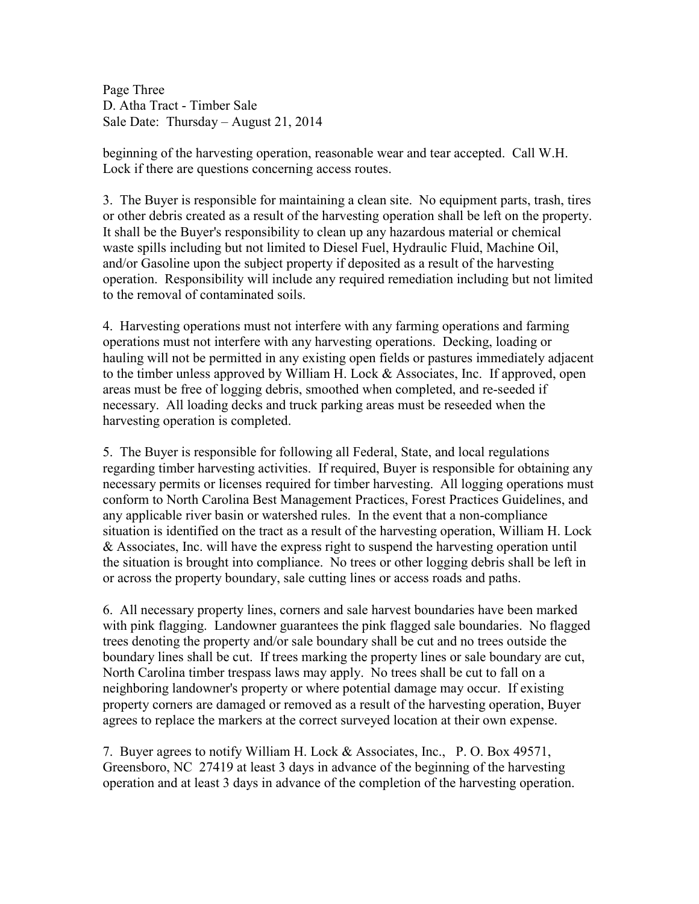Page Three D. Atha Tract - Timber Sale Sale Date: Thursday – August 21, 2014

beginning of the harvesting operation, reasonable wear and tear accepted. Call W.H. Lock if there are questions concerning access routes.

3. The Buyer is responsible for maintaining a clean site. No equipment parts, trash, tires or other debris created as a result of the harvesting operation shall be left on the property. It shall be the Buyer's responsibility to clean up any hazardous material or chemical waste spills including but not limited to Diesel Fuel, Hydraulic Fluid, Machine Oil, and/or Gasoline upon the subject property if deposited as a result of the harvesting operation. Responsibility will include any required remediation including but not limited to the removal of contaminated soils.

4. Harvesting operations must not interfere with any farming operations and farming operations must not interfere with any harvesting operations. Decking, loading or hauling will not be permitted in any existing open fields or pastures immediately adjacent to the timber unless approved by William H. Lock & Associates, Inc. If approved, open areas must be free of logging debris, smoothed when completed, and re-seeded if necessary. All loading decks and truck parking areas must be reseeded when the harvesting operation is completed.

5. The Buyer is responsible for following all Federal, State, and local regulations regarding timber harvesting activities. If required, Buyer is responsible for obtaining any necessary permits or licenses required for timber harvesting. All logging operations must conform to North Carolina Best Management Practices, Forest Practices Guidelines, and any applicable river basin or watershed rules. In the event that a non-compliance situation is identified on the tract as a result of the harvesting operation, William H. Lock & Associates, Inc. will have the express right to suspend the harvesting operation until the situation is brought into compliance. No trees or other logging debris shall be left in or across the property boundary, sale cutting lines or access roads and paths.

6. All necessary property lines, corners and sale harvest boundaries have been marked with pink flagging. Landowner guarantees the pink flagged sale boundaries. No flagged trees denoting the property and/or sale boundary shall be cut and no trees outside the boundary lines shall be cut. If trees marking the property lines or sale boundary are cut, North Carolina timber trespass laws may apply. No trees shall be cut to fall on a neighboring landowner's property or where potential damage may occur. If existing property corners are damaged or removed as a result of the harvesting operation, Buyer agrees to replace the markers at the correct surveyed location at their own expense.

7. Buyer agrees to notify William H. Lock & Associates, Inc., P. O. Box 49571, Greensboro, NC 27419 at least 3 days in advance of the beginning of the harvesting operation and at least 3 days in advance of the completion of the harvesting operation.